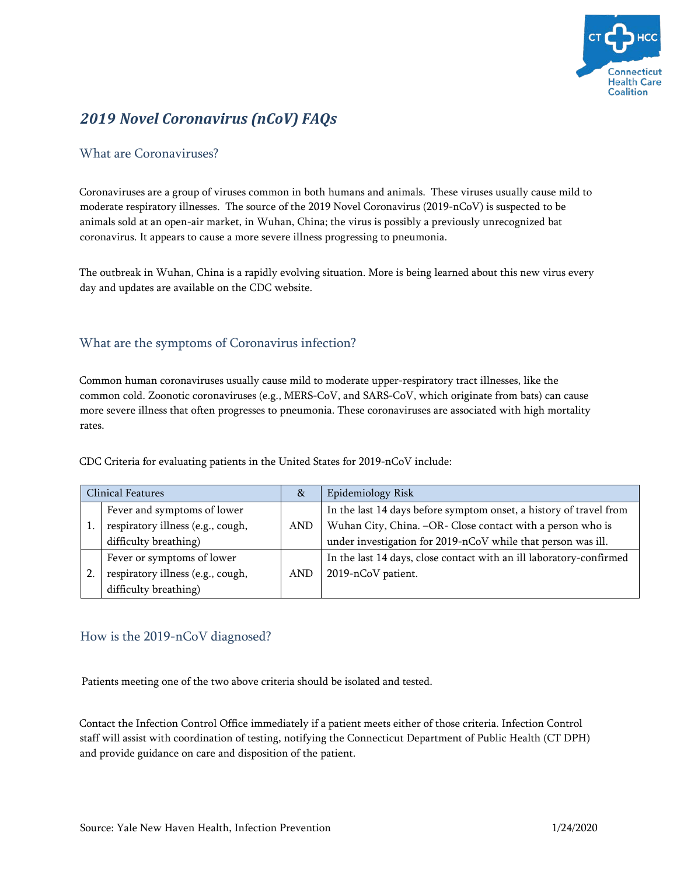

# *2019 Novel Coronavirus (nCoV) FAQs*

### What are Coronaviruses?

Coronaviruses are a group of viruses common in both humans and animals. These viruses usually cause mild to moderate respiratory illnesses. The source of the 2019 Novel Coronavirus (2019-nCoV) is suspected to be animals sold at an open-air market, in Wuhan, China; the virus is possibly a previously unrecognized bat coronavirus. It appears to cause a more severe illness progressing to pneumonia.

The outbreak in Wuhan, China is a rapidly evolving situation. More is being learned about this new virus every day and updates are available on the CDC website.

### What are the symptoms of Coronavirus infection?

Common human coronaviruses usually cause mild to moderate upper-respiratory tract illnesses, like the common cold. Zoonotic coronaviruses (e.g., MERS-CoV, and SARS-CoV, which originate from bats) can cause more severe illness that often progresses to pneumonia. These coronaviruses are associated with high mortality rates.

| <b>Clinical Features</b> |                                   | 8 <sub>x</sub> | Epidemiology Risk                                                   |
|--------------------------|-----------------------------------|----------------|---------------------------------------------------------------------|
|                          | Fever and symptoms of lower       |                | In the last 14 days before symptom onset, a history of travel from  |
|                          | respiratory illness (e.g., cough, | AND            | Wuhan City, China. -OR- Close contact with a person who is          |
|                          | difficulty breathing)             |                | under investigation for 2019-nCoV while that person was ill.        |
|                          | Fever or symptoms of lower        |                | In the last 14 days, close contact with an ill laboratory-confirmed |
|                          | respiratory illness (e.g., cough, | AND            | 2019-nCoV patient.                                                  |
|                          | difficulty breathing)             |                |                                                                     |

CDC Criteria for evaluating patients in the United States for 2019-nCoV include:

### How is the 2019-nCoV diagnosed?

Patients meeting one of the two above criteria should be isolated and tested.

Contact the Infection Control Office immediately if a patient meets either of those criteria. Infection Control staff will assist with coordination of testing, notifying the Connecticut Department of Public Health (CT DPH) and provide guidance on care and disposition of the patient.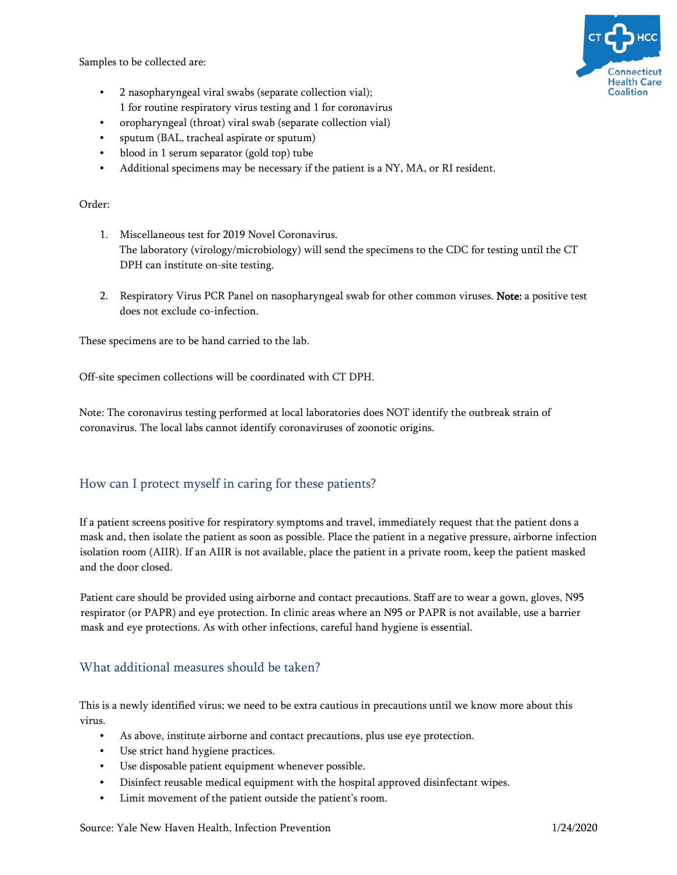Samples to be collected are:



- 2 nasopharyngeal viral swabs (separate collection vial); 1 for routine respiratory virus testing and 1 for coronavirus
- oropharyngeal (throat) viral swab (separate collection vial)
- sputum (BAL, tracheal aspirate or sputum)
- blood in 1 serum separator (gold top) tube
- Additional specimens may be necessary if the patient is a NY, MA, or RI resident.

#### Order:

- 1. Miscellaneous test for 2019 Novel Coronavirus. The laboratory (virology/microbiology) will send the specimens to the CDC for testing until the CT DPH can institute on-site testing.
- 2. Respiratory Virus PCR Panel on nasopharyngeal swab for other common viruses. Note: a positive test does not exclude co-infection.

These specimens are to be hand carried to the lab.

Off-site specimen collections will be coordinated with CT DPH.

Note: The coronavirus testing performed at local laboratories does NOT identify the outbreak strain of coronavirus. The local labs cannot identify coronaviruses of zoonotic origins.

### How can I protect myself in caring for these patients?

If a patient screens positive for respiratory symptoms and travel, immediately request that the patient dons a mask and, then isolate the patient as soon as possible. Place the patient in a negative pressure, airborne infection isolation room (AIIR). If an AIIR is not available, place the patient in a private room, keep the patient masked and the door closed.

Patient care should be provided using airborne and contact precautions. Staff are to wear a gown, gloves, N95 respirator (or PAPR) and eye protection. In clinic areas where an N95 or PAPR is not available, use a barrier mask and eye protections. As with other infections, careful hand hygiene is essential.

### What additional measures should be taken?

This is a newly identified virus; we need to be extra cautious in precautions until we know more about this virus.

- As above, institute airborne and contact precautions, plus use eye protection.
- Use strict hand hygiene practices.
- Use disposable patient equipment whenever possible.
- Disinfect reusable medical equipment with the hospital approved disinfectant wipes.
- Limit movement of the patient outside the patient's room.